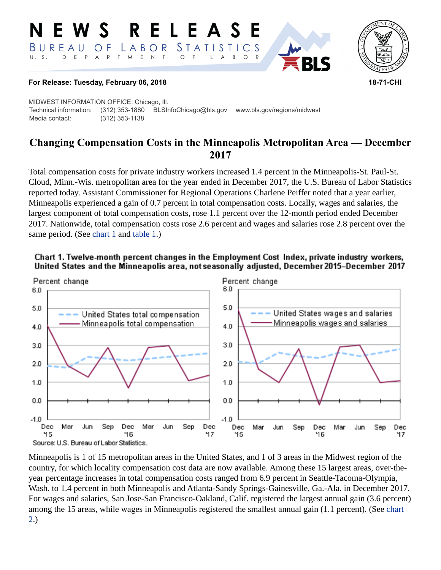#### **RELEASE** W S *STATISTICS* BUREAU LABOR O F  ${\sf R}$  $T$  $M_{\odot}$  $\mathsf E$  $\mathsf{N}\xspace$  $\top$  $U. S.$  $E$  $P$  $\overline{A}$  $\circ$  $\overline{A}$ B  $\circ$



### **For Release: Tuesday, February 06, 2018 18-71-CHI**

MIDWEST INFORMATION OFFICE: Chicago, Ill. Technical information: (312) 353-1880 BLSInfoChicago@bls.gov www.bls.gov/regions/midwest Media contact: (312) 353-1138

# **Changing Compensation Costs in the Minneapolis Metropolitan Area — December 2017**

Total compensation costs for private industry workers increased 1.4 percent in the Minneapolis-St. Paul-St. Cloud, Minn.-Wis. metropolitan area for the year ended in December 2017, the U.S. Bureau of Labor Statistics reported today. Assistant Commissioner for Regional Operations Charlene Peiffer noted that a year earlier, Minneapolis experienced a gain of 0.7 percent in total compensation costs. Locally, wages and salaries, the largest component of total compensation costs, rose 1.1 percent over the 12-month period ended December 2017. Nationwide, total compensation costs rose 2.6 percent and wages and salaries rose 2.8 percent over the same period. (See [chart 1](#page-0-0) and [table 1.](#page-4-0))

<span id="page-0-0"></span>



Minneapolis is 1 of 15 metropolitan areas in the United States, and 1 of 3 areas in the Midwest region of the country, for which locality compensation cost data are now available. Among these 15 largest areas, over-theyear percentage increases in total compensation costs ranged from 6.9 percent in Seattle-Tacoma-Olympia, Wash. to 1.4 percent in both Minneapolis and Atlanta-Sandy Springs-Gainesville, Ga.-Ala. in December 2017. For wages and salaries, San Jose-San Francisco-Oakland, Calif. registered the largest annual gain (3.6 percent) among the 15 areas, while wages in Minneapolis registered the smallest annual gain (1.1 percent). (See [chart](#page-1-0)  [2.](#page-1-0))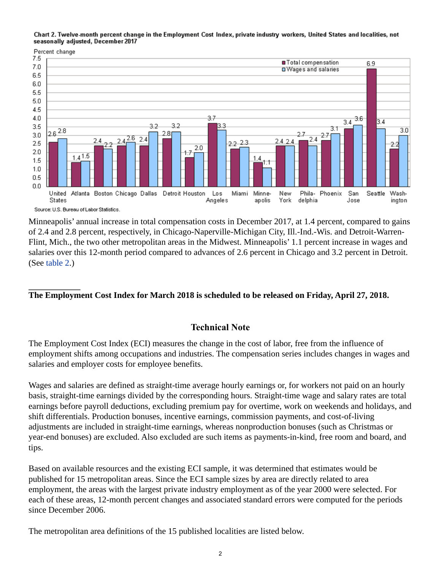<span id="page-1-0"></span>Chart 2. Twelve-month percent change in the Employment Cost Index, private industry workers, United States and localities, not seasonally adjusted, December 2017



Minneapolis' annual increase in total compensation costs in December 2017, at 1.4 percent, compared to gains of 2.4 and 2.8 percent, respectively, in Chicago-Naperville-Michigan City, Ill.-Ind.-Wis. and Detroit-Warren-Flint, Mich., the two other metropolitan areas in the Midwest. Minneapolis' 1.1 percent increase in wages and salaries over this 12-month period compared to advances of 2.6 percent in Chicago and 3.2 percent in Detroit. (See [table 2](#page-5-0).)

# **The Employment Cost Index for March 2018 is scheduled to be released on Friday, April 27, 2018.**

# **Technical Note**

The Employment Cost Index (ECI) measures the change in the cost of labor, free from the influence of employment shifts among occupations and industries. The compensation series includes changes in wages and salaries and employer costs for employee benefits.

Wages and salaries are defined as straight-time average hourly earnings or, for workers not paid on an hourly basis, straight-time earnings divided by the corresponding hours. Straight-time wage and salary rates are total earnings before payroll deductions, excluding premium pay for overtime, work on weekends and holidays, and shift differentials. Production bonuses, incentive earnings, commission payments, and cost-of-living adjustments are included in straight-time earnings, whereas nonproduction bonuses (such as Christmas or year-end bonuses) are excluded. Also excluded are such items as payments-in-kind, free room and board, and tips.

Based on available resources and the existing ECI sample, it was determined that estimates would be published for 15 metropolitan areas. Since the ECI sample sizes by area are directly related to area employment, the areas with the largest private industry employment as of the year 2000 were selected. For each of these areas, 12-month percent changes and associated standard errors were computed for the periods since December 2006.

The metropolitan area definitions of the 15 published localities are listed below.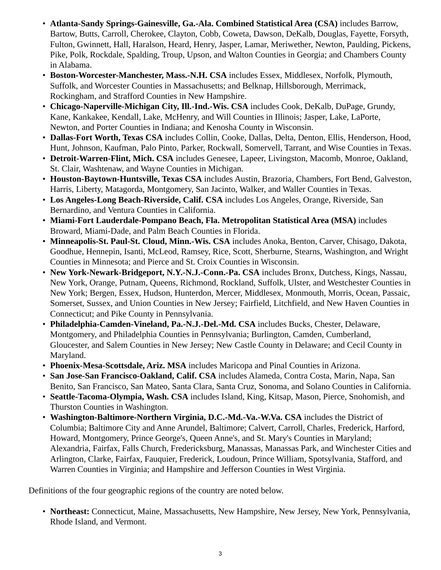- **Atlanta-Sandy Springs-Gainesville, Ga.-Ala. Combined Statistical Area (CSA)** includes Barrow, Bartow, Butts, Carroll, Cherokee, Clayton, Cobb, Coweta, Dawson, DeKalb, Douglas, Fayette, Forsyth, Fulton, Gwinnett, Hall, Haralson, Heard, Henry, Jasper, Lamar, Meriwether, Newton, Paulding, Pickens, Pike, Polk, Rockdale, Spalding, Troup, Upson, and Walton Counties in Georgia; and Chambers County in Alabama.
- **Boston-Worcester-Manchester, Mass.-N.H. CSA** includes Essex, Middlesex, Norfolk, Plymouth, Suffolk, and Worcester Counties in Massachusetts; and Belknap, Hillsborough, Merrimack, Rockingham, and Strafford Counties in New Hampshire.
- **Chicago-Naperville-Michigan City, Ill.-Ind.-Wis. CSA** includes Cook, DeKalb, DuPage, Grundy, Kane, Kankakee, Kendall, Lake, McHenry, and Will Counties in Illinois; Jasper, Lake, LaPorte, Newton, and Porter Counties in Indiana; and Kenosha County in Wisconsin.
- **Dallas-Fort Worth, Texas CSA** includes Collin, Cooke, Dallas, Delta, Denton, Ellis, Henderson, Hood, Hunt, Johnson, Kaufman, Palo Pinto, Parker, Rockwall, Somervell, Tarrant, and Wise Counties in Texas.
- **Detroit-Warren-Flint, Mich. CSA** includes Genesee, Lapeer, Livingston, Macomb, Monroe, Oakland, St. Clair, Washtenaw, and Wayne Counties in Michigan.
- **Houston-Baytown-Huntsville, Texas CSA** includes Austin, Brazoria, Chambers, Fort Bend, Galveston, Harris, Liberty, Matagorda, Montgomery, San Jacinto, Walker, and Waller Counties in Texas.
- **Los Angeles-Long Beach-Riverside, Calif. CSA** includes Los Angeles, Orange, Riverside, San Bernardino, and Ventura Counties in California.
- **Miami-Fort Lauderdale-Pompano Beach, Fla. Metropolitan Statistical Area (MSA)** includes Broward, Miami-Dade, and Palm Beach Counties in Florida.
- **Minneapolis-St. Paul-St. Cloud, Minn.-Wis. CSA** includes Anoka, Benton, Carver, Chisago, Dakota, Goodhue, Hennepin, Isanti, McLeod, Ramsey, Rice, Scott, Sherburne, Stearns, Washington, and Wright Counties in Minnesota; and Pierce and St. Croix Counties in Wisconsin.
- **New York-Newark-Bridgeport, N.Y.-N.J.-Conn.-Pa. CSA** includes Bronx, Dutchess, Kings, Nassau, New York, Orange, Putnam, Queens, Richmond, Rockland, Suffolk, Ulster, and Westchester Counties in New York; Bergen, Essex, Hudson, Hunterdon, Mercer, Middlesex, Monmouth, Morris, Ocean, Passaic, Somerset, Sussex, and Union Counties in New Jersey; Fairfield, Litchfield, and New Haven Counties in Connecticut; and Pike County in Pennsylvania.
- **Philadelphia-Camden-Vineland, Pa.-N.J.-Del.-Md. CSA** includes Bucks, Chester, Delaware, Montgomery, and Philadelphia Counties in Pennsylvania; Burlington, Camden, Cumberland, Gloucester, and Salem Counties in New Jersey; New Castle County in Delaware; and Cecil County in Maryland.
- **Phoenix-Mesa-Scottsdale, Ariz. MSA** includes Maricopa and Pinal Counties in Arizona.
- **San Jose-San Francisco-Oakland, Calif. CSA** includes Alameda, Contra Costa, Marin, Napa, San Benito, San Francisco, San Mateo, Santa Clara, Santa Cruz, Sonoma, and Solano Counties in California.
- **Seattle-Tacoma-Olympia, Wash. CSA** includes Island, King, Kitsap, Mason, Pierce, Snohomish, and Thurston Counties in Washington.
- **Washington-Baltimore-Northern Virginia, D.C.-Md.-Va.-W.Va. CSA** includes the District of Columbia; Baltimore City and Anne Arundel, Baltimore; Calvert, Carroll, Charles, Frederick, Harford, Howard, Montgomery, Prince George's, Queen Anne's, and St. Mary's Counties in Maryland; Alexandria, Fairfax, Falls Church, Fredericksburg, Manassas, Manassas Park, and Winchester Cities and Arlington, Clarke, Fairfax, Fauquier, Frederick, Loudoun, Prince William, Spotsylvania, Stafford, and Warren Counties in Virginia; and Hampshire and Jefferson Counties in West Virginia.

Definitions of the four geographic regions of the country are noted below.

• **Northeast:** Connecticut, Maine, Massachusetts, New Hampshire, New Jersey, New York, Pennsylvania, Rhode Island, and Vermont.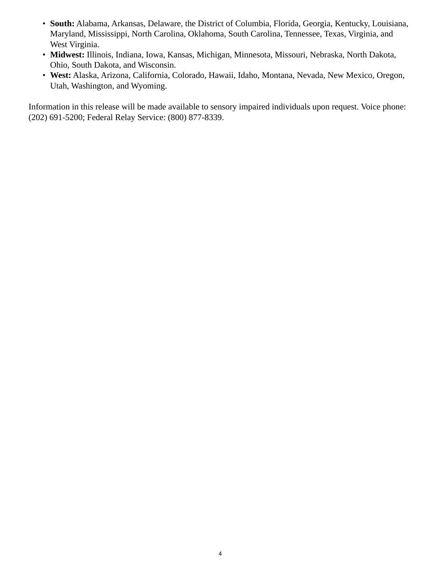- **South:** Alabama, Arkansas, Delaware, the District of Columbia, Florida, Georgia, Kentucky, Louisiana, Maryland, Mississippi, North Carolina, Oklahoma, South Carolina, Tennessee, Texas, Virginia, and West Virginia.
- **Midwest:** Illinois, Indiana, Iowa, Kansas, Michigan, Minnesota, Missouri, Nebraska, North Dakota, Ohio, South Dakota, and Wisconsin.
- **West:** Alaska, Arizona, California, Colorado, Hawaii, Idaho, Montana, Nevada, New Mexico, Oregon, Utah, Washington, and Wyoming.

Information in this release will be made available to sensory impaired individuals upon request. Voice phone: (202) 691-5200; Federal Relay Service: (800) 877-8339.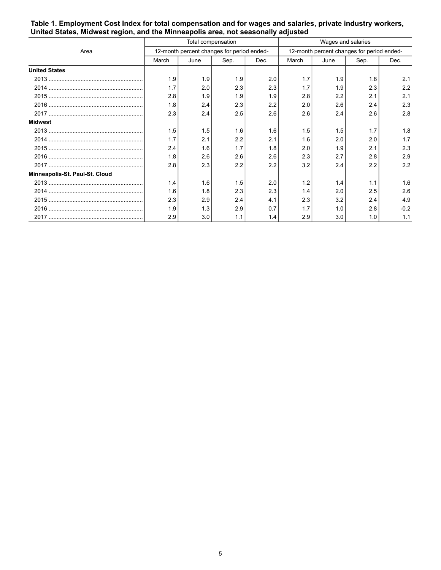|                                | Total compensation                         |      |      |      | Wages and salaries                         |      |      |        |
|--------------------------------|--------------------------------------------|------|------|------|--------------------------------------------|------|------|--------|
| Area                           | 12-month percent changes for period ended- |      |      |      | 12-month percent changes for period ended- |      |      |        |
|                                | March                                      | June | Sep. | Dec. | March                                      | June | Sep. | Dec.   |
| <b>United States</b>           |                                            |      |      |      |                                            |      |      |        |
|                                | 1.9                                        | 1.9  | 1.9  | 2.0  | 1.7                                        | 1.9  | 1.8  | 2.1    |
|                                | 1.7                                        | 2.0  | 2.3  | 2.3  | 1.7                                        | 1.9  | 2.3  | 2.2    |
|                                | 2.8                                        | 1.9  | 1.9  | 1.9  | 2.8                                        | 2.2  | 2.1  | 2.1    |
|                                | 1.8                                        | 2.4  | 2.3  | 2.2  | 2.0                                        | 2.6  | 2.4  | 2.3    |
|                                | 2.3                                        | 2.4  | 2.5  | 2.6  | 2.6                                        | 2.4  | 2.6  | 2.8    |
| Midwest                        |                                            |      |      |      |                                            |      |      |        |
|                                | 1.5                                        | 1.5  | 1.6  | 1.6  | 1.5                                        | 1.5  | 1.7  | 1.8    |
|                                | 1.7                                        | 2.1  | 2.2  | 2.1  | 1.6                                        | 2.0  | 2.0  | 1.7    |
|                                | 2.4                                        | 1.6  | 1.7  | 1.8  | 2.0                                        | 1.9  | 2.1  | 2.3    |
|                                | 1.8                                        | 2.6  | 2.6  | 2.6  | 2.3                                        | 2.7  | 2.8  | 2.9    |
|                                | 2.8                                        | 2.3  | 2.2  | 2.2  | 3.2                                        | 2.4  | 2.2  | 2.2    |
| Minneapolis-St. Paul-St. Cloud |                                            |      |      |      |                                            |      |      |        |
|                                | 1.4                                        | 1.6  | 1.5  | 2.0  | 1.2                                        | 1.4  | 1.1  | 1.6    |
|                                | 1.6                                        | 1.8  | 2.3  | 2.3  | 1.4                                        | 2.0  | 2.5  | 2.6    |
|                                | 2.3                                        | 2.9  | 2.4  | 4.1  | 2.3                                        | 3.2  | 2.4  | 4.9    |
|                                | 1.9                                        | 1.3  | 2.9  | 0.7  | 1.7                                        | 1.0  | 2.8  | $-0.2$ |
|                                | 2.9                                        | 3.0  | 1.1  | 1.4  | 2.9                                        | 3.0  | 1.0  | 1.1    |

<span id="page-4-0"></span>**Table 1. Employment Cost Index for total compensation and for wages and salaries, private industry workers, United States, Midwest region, and the Minneapolis area, not seasonally adjusted**